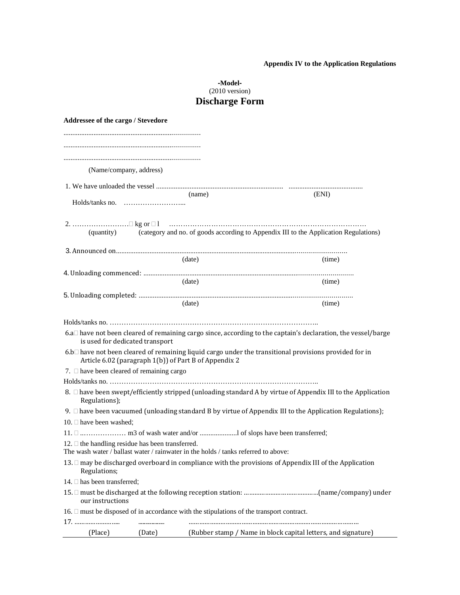## **Appendix IV to the Application Regulations**

## **-Model-** (2010 version) **Discharge Form**

| Addressee of the cargo / Stevedore                    |                                 |                                                                                               |                                                                                                                                    |
|-------------------------------------------------------|---------------------------------|-----------------------------------------------------------------------------------------------|------------------------------------------------------------------------------------------------------------------------------------|
|                                                       |                                 |                                                                                               |                                                                                                                                    |
|                                                       |                                 |                                                                                               |                                                                                                                                    |
|                                                       |                                 |                                                                                               |                                                                                                                                    |
|                                                       | (Name/company, address)         |                                                                                               |                                                                                                                                    |
|                                                       |                                 |                                                                                               |                                                                                                                                    |
|                                                       |                                 | (name)                                                                                        | (ENI)                                                                                                                              |
|                                                       |                                 |                                                                                               |                                                                                                                                    |
|                                                       |                                 |                                                                                               |                                                                                                                                    |
|                                                       |                                 |                                                                                               | (quantity) (category and no. of goods according to Appendix III to the Application Regulations)                                    |
|                                                       |                                 |                                                                                               |                                                                                                                                    |
|                                                       |                                 | (data)                                                                                        | (time)                                                                                                                             |
|                                                       |                                 |                                                                                               |                                                                                                                                    |
|                                                       |                                 | (date)                                                                                        | (time)                                                                                                                             |
|                                                       |                                 | (data)                                                                                        | (time)                                                                                                                             |
|                                                       |                                 |                                                                                               |                                                                                                                                    |
|                                                       |                                 |                                                                                               |                                                                                                                                    |
|                                                       | is used for dedicated transport |                                                                                               | 6.a□ have not been cleared of remaining cargo since, according to the captain's declaration, the vessel/barge                      |
|                                                       |                                 | Article 6.02 (paragraph 1(b)) of Part B of Appendix 2                                         | 6.b <sup><math>\Box</math></sup> have not been cleared of remaining liquid cargo under the transitional provisions provided for in |
| 7. $\Box$ have been cleared of remaining cargo        |                                 |                                                                                               |                                                                                                                                    |
|                                                       |                                 |                                                                                               |                                                                                                                                    |
| Regulations);                                         |                                 |                                                                                               | 8. □ have been swept/efficiently stripped (unloading standard A by virtue of Appendix III to the Application                       |
|                                                       |                                 |                                                                                               | 9. $\Box$ have been vacuumed (unloading standard B by virtue of Appendix III to the Application Regulations);                      |
| 10. $\Box$ have been washed;                          |                                 |                                                                                               |                                                                                                                                    |
|                                                       |                                 |                                                                                               |                                                                                                                                    |
| 12. $\Box$ the handling residue has been transferred. |                                 | The wash water / ballast water / rainwater in the holds / tanks referred to above:            |                                                                                                                                    |
| Regulations;                                          |                                 |                                                                                               | 13. □ may be discharged overboard in compliance with the provisions of Appendix III of the Application                             |
| 14. □ has been transferred;                           |                                 |                                                                                               |                                                                                                                                    |
| our instructions                                      |                                 |                                                                                               |                                                                                                                                    |
| 17.                                                   |                                 | 16. $\Box$ must be disposed of in accordance with the stipulations of the transport contract. |                                                                                                                                    |
| (Place)                                               | (Date)                          |                                                                                               | (Rubber stamp / Name in block capital letters, and signature)                                                                      |